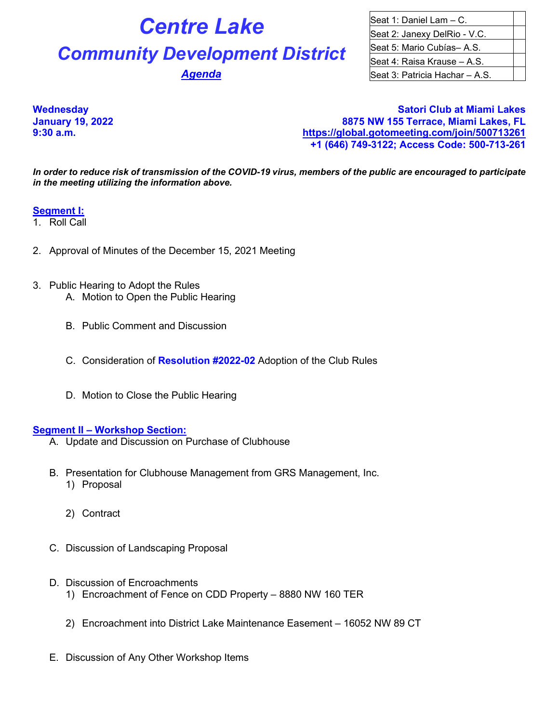# **Centre Lake** Seat 1: Daniel Lam – C. **Community Development District** Seat 5: Mario Cubías– A.S.

Seat 2: Janexy DelRio - V.C. Seat 4: Raisa Krause – A.S. **Agenda Seat 3: Patricia Hachar – A.S.** 

**Wednesday Satori Club at Miami Lakes 8875 NW 155 Terrace, Miami Lakes, FL 9:30 a.m. <https://global.gotomeeting.com/join/500713261> +1 (646) 749-3122; Access Code: 500-713-261**

*In order to reduce risk of transmission of the COVID-19 virus, members of the public are encouraged to participate in the meeting utilizing the information above.*

# **Segment I:**

- 1. Roll Call
- 2. Approval of Minutes of the December 15, 2021 Meeting
- 3. Public Hearing to Adopt the Rules A. Motion to Open the Public Hearing
	- B. Public Comment and Discussion
	- C. Consideration of **Resolution #2022-02** Adoption of the Club Rules
	- D. Motion to Close the Public Hearing

## **Segment II – Workshop Section:**

- A. Update and Discussion on Purchase of Clubhouse
- B. Presentation for Clubhouse Management from GRS Management, Inc.
	- 1) Proposal
	- 2) Contract
- C. Discussion of Landscaping Proposal
- D. Discussion of Encroachments
	- 1) Encroachment of Fence on CDD Property 8880 NW 160 TER
	- 2) Encroachment into District Lake Maintenance Easement 16052 NW 89 CT
- E. Discussion of Any Other Workshop Items